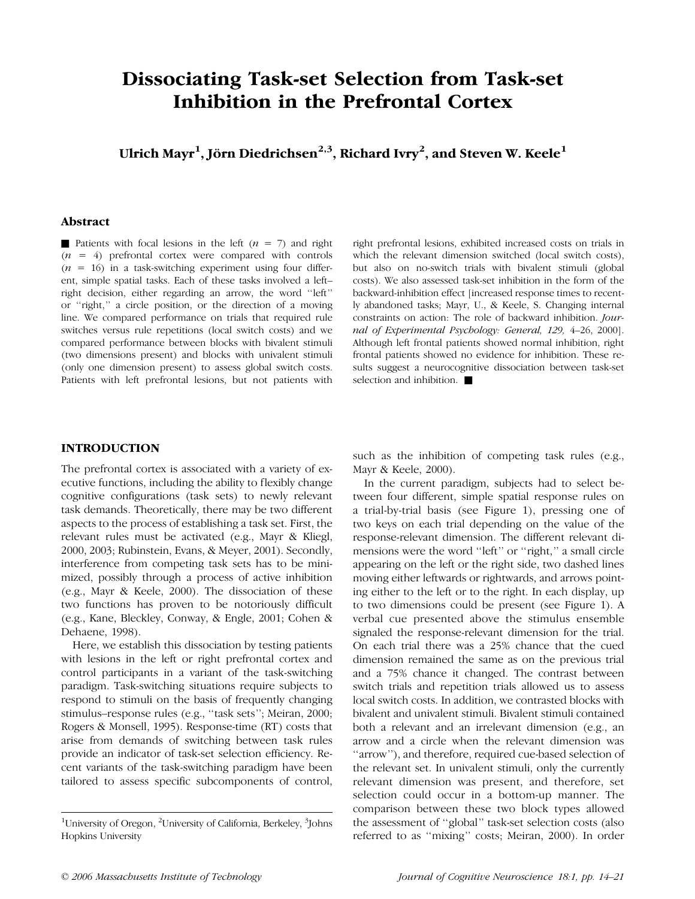# Dissociating Task-set Selection from Task-set Inhibition in the Prefrontal Cortex

Ulrich Mayr $^1$ , Jörn Diedrichsen $^{2,3}$ , Richard Ivry $^2$ , and Steven W. Keele $^1$ 

## Abstract

Patients with focal lesions in the left  $(n = 7)$  and right  $(n = 4)$  prefrontal cortex were compared with controls  $(n = 16)$  in a task-switching experiment using four different, simple spatial tasks. Each of these tasks involved a left– right decision, either regarding an arrow, the word ''left'' or ''right,'' a circle position, or the direction of a moving line. We compared performance on trials that required rule switches versus rule repetitions (local switch costs) and we compared performance between blocks with bivalent stimuli (two dimensions present) and blocks with univalent stimuli (only one dimension present) to assess global switch costs. Patients with left prefrontal lesions, but not patients with

right prefrontal lesions, exhibited increased costs on trials in which the relevant dimension switched (local switch costs), but also on no-switch trials with bivalent stimuli (global costs). We also assessed task-set inhibition in the form of the backward-inhibition effect [increased response times to recently abandoned tasks; Mayr, U., & Keele, S. Changing internal constraints on action: The role of backward inhibition. Journal of Experimental Psychology: General, 129, 4–26, 2000]. Although left frontal patients showed normal inhibition, right frontal patients showed no evidence for inhibition. These results suggest a neurocognitive dissociation between task-set selection and inhibition.  $\blacksquare$ 

## INTRODUCTION

The prefrontal cortex is associated with a variety of executive functions, including the ability to flexibly change cognitive configurations (task sets) to newly relevant task demands. Theoretically, there may be two different aspects to the process of establishing a task set. First, the relevant rules must be activated (e.g., Mayr & Kliegl, 2000, 2003; Rubinstein, Evans, & Meyer, 2001). Secondly, interference from competing task sets has to be minimized, possibly through a process of active inhibition (e.g., Mayr & Keele, 2000). The dissociation of these two functions has proven to be notoriously difficult (e.g., Kane, Bleckley, Conway, & Engle, 2001; Cohen & Dehaene, 1998).

Here, we establish this dissociation by testing patients with lesions in the left or right prefrontal cortex and control participants in a variant of the task-switching paradigm. Task-switching situations require subjects to respond to stimuli on the basis of frequently changing stimulus–response rules (e.g., ''task sets''; Meiran, 2000; Rogers & Monsell, 1995). Response-time (RT) costs that arise from demands of switching between task rules provide an indicator of task-set selection efficiency. Recent variants of the task-switching paradigm have been tailored to assess specific subcomponents of control, such as the inhibition of competing task rules (e.g., Mayr & Keele, 2000).

In the current paradigm, subjects had to select between four different, simple spatial response rules on a trial-by-trial basis (see Figure 1), pressing one of two keys on each trial depending on the value of the response-relevant dimension. The different relevant dimensions were the word ''left'' or ''right,'' a small circle appearing on the left or the right side, two dashed lines moving either leftwards or rightwards, and arrows pointing either to the left or to the right. In each display, up to two dimensions could be present (see Figure 1). A verbal cue presented above the stimulus ensemble signaled the response-relevant dimension for the trial. On each trial there was a 25% chance that the cued dimension remained the same as on the previous trial and a 75% chance it changed. The contrast between switch trials and repetition trials allowed us to assess local switch costs. In addition, we contrasted blocks with bivalent and univalent stimuli. Bivalent stimuli contained both a relevant and an irrelevant dimension (e.g., an arrow and a circle when the relevant dimension was ''arrow''), and therefore, required cue-based selection of the relevant set. In univalent stimuli, only the currently relevant dimension was present, and therefore, set selection could occur in a bottom-up manner. The comparison between these two block types allowed the assessment of ''global'' task-set selection costs (also referred to as ''mixing'' costs; Meiran, 2000). In order

<sup>&</sup>lt;sup>1</sup>University of Oregon, <sup>2</sup>University of California, Berkeley, <sup>3</sup>Johns Hopkins University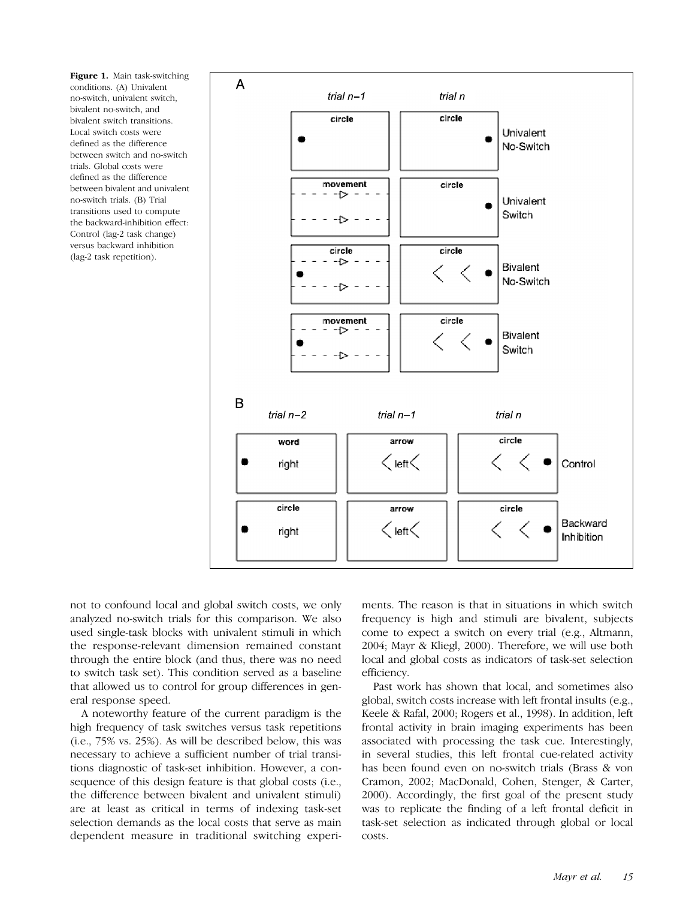Figure 1. Main task-switching conditions. (A) Univalent no-switch, univalent switch, bivalent no-switch, and bivalent switch transitions. Local switch costs were defined as the difference between switch and no-switch trials. Global costs were defined as the difference between bivalent and univalent no-switch trials. (B) Trial transitions used to compute the backward-inhibition effect: Control (lag-2 task change) versus backward inhibition (lag-2 task repetition).



not to confound local and global switch costs, we only analyzed no-switch trials for this comparison. We also used single-task blocks with univalent stimuli in which the response-relevant dimension remained constant through the entire block (and thus, there was no need to switch task set). This condition served as a baseline that allowed us to control for group differences in general response speed.

A noteworthy feature of the current paradigm is the high frequency of task switches versus task repetitions (i.e., 75% vs. 25%). As will be described below, this was necessary to achieve a sufficient number of trial transitions diagnostic of task-set inhibition. However, a consequence of this design feature is that global costs (i.e., the difference between bivalent and univalent stimuli) are at least as critical in terms of indexing task-set selection demands as the local costs that serve as main dependent measure in traditional switching experiments. The reason is that in situations in which switch frequency is high and stimuli are bivalent, subjects come to expect a switch on every trial (e.g., Altmann, 2004; Mayr & Kliegl, 2000). Therefore, we will use both local and global costs as indicators of task-set selection efficiency.

Past work has shown that local, and sometimes also global, switch costs increase with left frontal insults (e.g., Keele & Rafal, 2000; Rogers et al., 1998). In addition, left frontal activity in brain imaging experiments has been associated with processing the task cue. Interestingly, in several studies, this left frontal cue-related activity has been found even on no-switch trials (Brass & von Cramon, 2002; MacDonald, Cohen, Stenger, & Carter, 2000). Accordingly, the first goal of the present study was to replicate the finding of a left frontal deficit in task-set selection as indicated through global or local costs.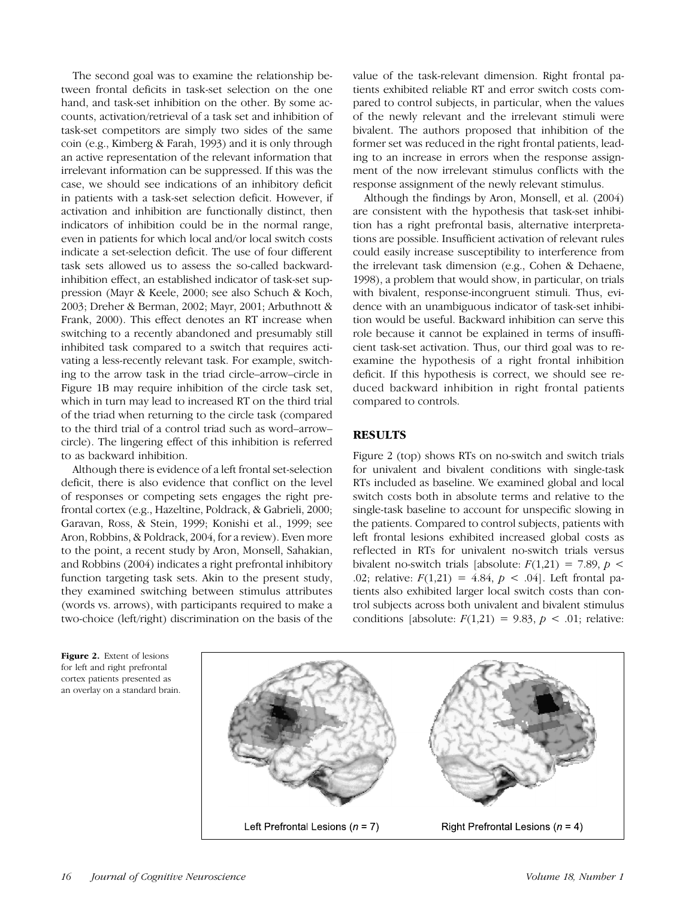The second goal was to examine the relationship between frontal deficits in task-set selection on the one hand, and task-set inhibition on the other. By some accounts, activation/retrieval of a task set and inhibition of task-set competitors are simply two sides of the same coin (e.g., Kimberg & Farah, 1993) and it is only through an active representation of the relevant information that irrelevant information can be suppressed. If this was the case, we should see indications of an inhibitory deficit in patients with a task-set selection deficit. However, if activation and inhibition are functionally distinct, then indicators of inhibition could be in the normal range, even in patients for which local and/or local switch costs indicate a set-selection deficit. The use of four different task sets allowed us to assess the so-called backwardinhibition effect, an established indicator of task-set suppression (Mayr & Keele, 2000; see also Schuch & Koch, 2003; Dreher & Berman, 2002; Mayr, 2001; Arbuthnott & Frank, 2000). This effect denotes an RT increase when switching to a recently abandoned and presumably still inhibited task compared to a switch that requires activating a less-recently relevant task. For example, switching to the arrow task in the triad circle–arrow–circle in Figure 1B may require inhibition of the circle task set, which in turn may lead to increased RT on the third trial of the triad when returning to the circle task (compared to the third trial of a control triad such as word–arrow– circle). The lingering effect of this inhibition is referred to as backward inhibition.

Although there is evidence of a left frontal set-selection deficit, there is also evidence that conflict on the level of responses or competing sets engages the right prefrontal cortex (e.g., Hazeltine, Poldrack, & Gabrieli, 2000; Garavan, Ross, & Stein, 1999; Konishi et al., 1999; see Aron, Robbins, & Poldrack, 2004, for a review). Even more to the point, a recent study by Aron, Monsell, Sahakian, and Robbins (2004) indicates a right prefrontal inhibitory function targeting task sets. Akin to the present study, they examined switching between stimulus attributes (words vs. arrows), with participants required to make a two-choice (left/right) discrimination on the basis of the value of the task-relevant dimension. Right frontal patients exhibited reliable RT and error switch costs compared to control subjects, in particular, when the values of the newly relevant and the irrelevant stimuli were bivalent. The authors proposed that inhibition of the former set was reduced in the right frontal patients, leading to an increase in errors when the response assignment of the now irrelevant stimulus conflicts with the response assignment of the newly relevant stimulus.

Although the findings by Aron, Monsell, et al. (2004) are consistent with the hypothesis that task-set inhibition has a right prefrontal basis, alternative interpretations are possible. Insufficient activation of relevant rules could easily increase susceptibility to interference from the irrelevant task dimension (e.g., Cohen & Dehaene, 1998), a problem that would show, in particular, on trials with bivalent, response-incongruent stimuli. Thus, evidence with an unambiguous indicator of task-set inhibition would be useful. Backward inhibition can serve this role because it cannot be explained in terms of insufficient task-set activation. Thus, our third goal was to reexamine the hypothesis of a right frontal inhibition deficit. If this hypothesis is correct, we should see reduced backward inhibition in right frontal patients compared to controls.

# RESULTS

Figure 2 (top) shows RTs on no-switch and switch trials for univalent and bivalent conditions with single-task RTs included as baseline. We examined global and local switch costs both in absolute terms and relative to the single-task baseline to account for unspecific slowing in the patients. Compared to control subjects, patients with left frontal lesions exhibited increased global costs as reflected in RTs for univalent no-switch trials versus bivalent no-switch trials [absolute:  $F(1,21) = 7.89$ ,  $p <$ .02; relative:  $F(1,21) = 4.84$ ,  $p < .04$ . Left frontal patients also exhibited larger local switch costs than control subjects across both univalent and bivalent stimulus conditions [absolute:  $F(1,21) = 9.83$ ,  $p < .01$ ; relative:

Figure 2. Extent of lesions for left and right prefrontal cortex patients presented as an overlay on a standard brain.

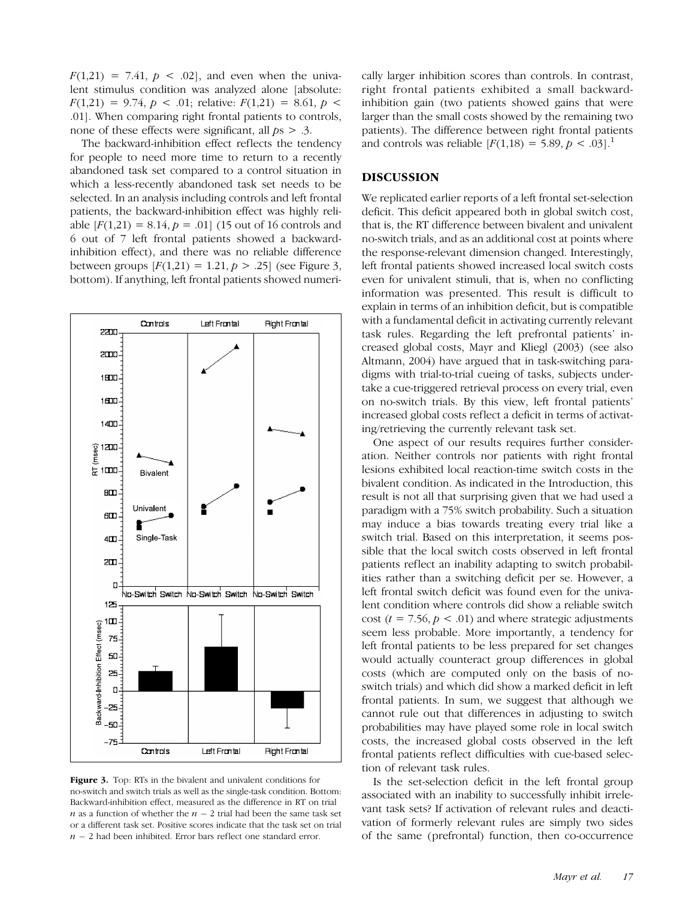$F(1,21) = 7.41, p < .02$ , and even when the univalent stimulus condition was analyzed alone [absolute:  $F(1,21) = 9.74, p < .01$ ; relative:  $F(1,21) = 8.61, p <$ .01]. When comparing right frontal patients to controls, none of these effects were significant, all  $ps > .3$ .

The backward-inhibition effect reflects the tendency for people to need more time to return to a recently abandoned task set compared to a control situation in which a less-recently abandoned task set needs to be selected. In an analysis including controls and left frontal patients, the backward-inhibition effect was highly reliable  $[F(1,21) = 8.14, p = .01]$  (15 out of 16 controls and 6 out of 7 left frontal patients showed a backwardinhibition effect), and there was no reliable difference between groups  $[F(1,21) = 1.21, p > .25]$  (see Figure 3, bottom). If anything, left frontal patients showed numeri-



Figure 3. Top: RTs in the bivalent and univalent conditions for no-switch and switch trials as well as the single-task condition. Bottom: Backward-inhibition effect, measured as the difference in RT on trial *n* as a function of whether the  $n - 2$  trial had been the same task set or a different task set. Positive scores indicate that the task set on trial  $n - 2$  had been inhibited. Error bars reflect one standard error.

cally larger inhibition scores than controls. In contrast, right frontal patients exhibited a small backwardinhibition gain (two patients showed gains that were larger than the small costs showed by the remaining two patients). The difference between right frontal patients and controls was reliable  $[F(1,18) = 5.89, p < .03]$ .<sup>1</sup>

## DISCUSSION

We replicated earlier reports of a left frontal set-selection deficit. This deficit appeared both in global switch cost, that is, the RT difference between bivalent and univalent no-switch trials, and as an additional cost at points where the response-relevant dimension changed. Interestingly, left frontal patients showed increased local switch costs even for univalent stimuli, that is, when no conflicting information was presented. This result is difficult to explain in terms of an inhibition deficit, but is compatible with a fundamental deficit in activating currently relevant task rules. Regarding the left prefrontal patients' increased global costs, Mayr and Kliegl (2003) (see also Altmann, 2004) have argued that in task-switching paradigms with trial-to-trial cueing of tasks, subjects undertake a cue-triggered retrieval process on every trial, even on no-switch trials. By this view, left frontal patients' increased global costs reflect a deficit in terms of activating/retrieving the currently relevant task set.

One aspect of our results requires further consideration. Neither controls nor patients with right frontal lesions exhibited local reaction-time switch costs in the bivalent condition. As indicated in the Introduction, this result is not all that surprising given that we had used a paradigm with a 75% switch probability. Such a situation may induce a bias towards treating every trial like a switch trial. Based on this interpretation, it seems possible that the local switch costs observed in left frontal patients reflect an inability adapting to switch probabilities rather than a switching deficit per se. However, a left frontal switch deficit was found even for the univalent condition where controls did show a reliable switch cost ( $t = 7.56$ ,  $p < .01$ ) and where strategic adjustments seem less probable. More importantly, a tendency for left frontal patients to be less prepared for set changes would actually counteract group differences in global costs (which are computed only on the basis of noswitch trials) and which did show a marked deficit in left frontal patients. In sum, we suggest that although we cannot rule out that differences in adjusting to switch probabilities may have played some role in local switch costs, the increased global costs observed in the left frontal patients reflect difficulties with cue-based selection of relevant task rules.

Is the set-selection deficit in the left frontal group associated with an inability to successfully inhibit irrelevant task sets? If activation of relevant rules and deactivation of formerly relevant rules are simply two sides of the same (prefrontal) function, then co-occurrence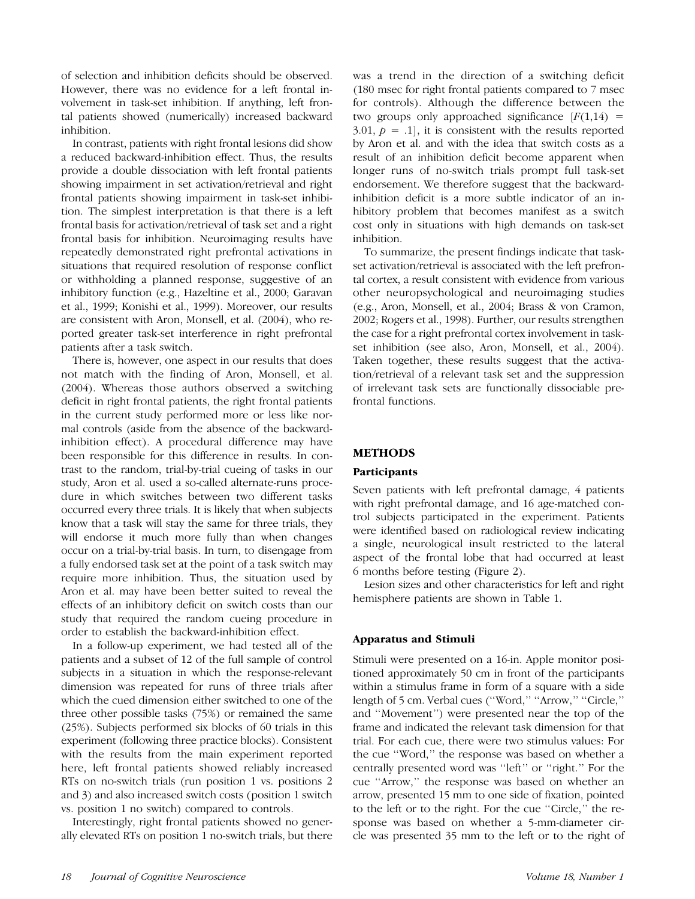of selection and inhibition deficits should be observed. However, there was no evidence for a left frontal involvement in task-set inhibition. If anything, left frontal patients showed (numerically) increased backward inhibition.

In contrast, patients with right frontal lesions did show a reduced backward-inhibition effect. Thus, the results provide a double dissociation with left frontal patients showing impairment in set activation/retrieval and right frontal patients showing impairment in task-set inhibition. The simplest interpretation is that there is a left frontal basis for activation/retrieval of task set and a right frontal basis for inhibition. Neuroimaging results have repeatedly demonstrated right prefrontal activations in situations that required resolution of response conflict or withholding a planned response, suggestive of an inhibitory function (e.g., Hazeltine et al., 2000; Garavan et al., 1999; Konishi et al., 1999). Moreover, our results are consistent with Aron, Monsell, et al. (2004), who reported greater task-set interference in right prefrontal patients after a task switch.

There is, however, one aspect in our results that does not match with the finding of Aron, Monsell, et al. (2004). Whereas those authors observed a switching deficit in right frontal patients, the right frontal patients in the current study performed more or less like normal controls (aside from the absence of the backwardinhibition effect). A procedural difference may have been responsible for this difference in results. In contrast to the random, trial-by-trial cueing of tasks in our study, Aron et al. used a so-called alternate-runs procedure in which switches between two different tasks occurred every three trials. It is likely that when subjects know that a task will stay the same for three trials, they will endorse it much more fully than when changes occur on a trial-by-trial basis. In turn, to disengage from a fully endorsed task set at the point of a task switch may require more inhibition. Thus, the situation used by Aron et al. may have been better suited to reveal the effects of an inhibitory deficit on switch costs than our study that required the random cueing procedure in order to establish the backward-inhibition effect.

In a follow-up experiment, we had tested all of the patients and a subset of 12 of the full sample of control subjects in a situation in which the response-relevant dimension was repeated for runs of three trials after which the cued dimension either switched to one of the three other possible tasks (75%) or remained the same (25%). Subjects performed six blocks of 60 trials in this experiment (following three practice blocks). Consistent with the results from the main experiment reported here, left frontal patients showed reliably increased RTs on no-switch trials (run position 1 vs. positions 2 and 3) and also increased switch costs (position 1 switch vs. position 1 no switch) compared to controls.

Interestingly, right frontal patients showed no generally elevated RTs on position 1 no-switch trials, but there was a trend in the direction of a switching deficit (180 msec for right frontal patients compared to 7 msec for controls). Although the difference between the two groups only approached significance  $[F(1,14) =$ 3.01,  $p = .1$ , it is consistent with the results reported by Aron et al. and with the idea that switch costs as a result of an inhibition deficit become apparent when longer runs of no-switch trials prompt full task-set endorsement. We therefore suggest that the backwardinhibition deficit is a more subtle indicator of an inhibitory problem that becomes manifest as a switch cost only in situations with high demands on task-set inhibition.

To summarize, the present findings indicate that taskset activation/retrieval is associated with the left prefrontal cortex, a result consistent with evidence from various other neuropsychological and neuroimaging studies (e.g., Aron, Monsell, et al., 2004; Brass & von Cramon, 2002; Rogers et al., 1998). Further, our results strengthen the case for a right prefrontal cortex involvement in taskset inhibition (see also, Aron, Monsell, et al., 2004). Taken together, these results suggest that the activation/retrieval of a relevant task set and the suppression of irrelevant task sets are functionally dissociable prefrontal functions.

## METHODS

#### **Participants**

Seven patients with left prefrontal damage, 4 patients with right prefrontal damage, and 16 age-matched control subjects participated in the experiment. Patients were identified based on radiological review indicating a single, neurological insult restricted to the lateral aspect of the frontal lobe that had occurred at least 6 months before testing (Figure 2).

Lesion sizes and other characteristics for left and right hemisphere patients are shown in Table 1.

#### Apparatus and Stimuli

Stimuli were presented on a 16-in. Apple monitor positioned approximately 50 cm in front of the participants within a stimulus frame in form of a square with a side length of 5 cm. Verbal cues (''Word,'' ''Arrow,'' ''Circle,'' and ''Movement'') were presented near the top of the frame and indicated the relevant task dimension for that trial. For each cue, there were two stimulus values: For the cue ''Word,'' the response was based on whether a centrally presented word was ''left'' or ''right.'' For the cue ''Arrow,'' the response was based on whether an arrow, presented 15 mm to one side of fixation, pointed to the left or to the right. For the cue ''Circle,'' the response was based on whether a 5-mm-diameter circle was presented 35 mm to the left or to the right of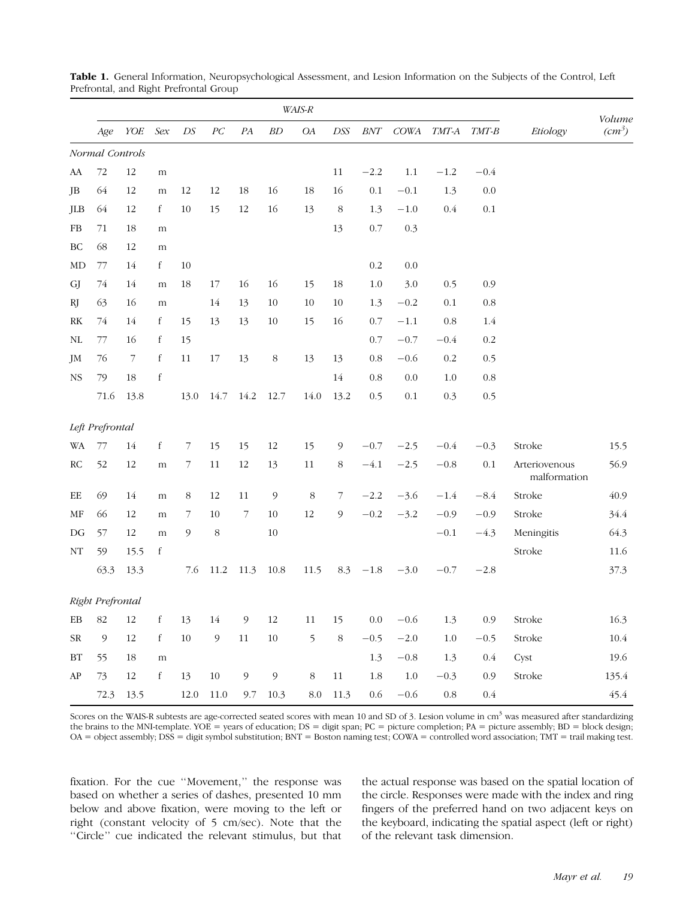|                     |                  | $W\!A\!I\!S\!-\!R$ |              |                |             |                 |                |                |         |            |              |                |         |                               |                    |
|---------------------|------------------|--------------------|--------------|----------------|-------------|-----------------|----------------|----------------|---------|------------|--------------|----------------|---------|-------------------------------|--------------------|
|                     | Age              | YOE                | Sex          | $D\!S$         | ${\cal PC}$ | PA              | BD             | <b>OA</b>      | DSS     | <i>BNT</i> | $\it COW\!A$ | $\emph{TMT-A}$ | $TMT-B$ | Etiology                      | Volume<br>$(cm^3)$ |
|                     | Normal Controls  |                    |              |                |             |                 |                |                |         |            |              |                |         |                               |                    |
| AA                  | $72\,$           | 12                 | m            |                |             |                 |                |                | 11      | $-2.2$     | 1.1          | $-1.2$         | $-0.4$  |                               |                    |
| $\mathbf{J}$        | 64               | 12                 | m            | 12             | 12          | 18              | 16             | 18             | 16      | $0.1\,$    | $-0.1$       | 1.3            | 0.0     |                               |                    |
| <b>ILB</b>          | 64               | 12                 | $\mathbf f$  | 10             | 15          | 12              | 16             | 13             | $\,8\,$ | 1.3        | $-1.0$       | 0.4            | $0.1\,$ |                               |                    |
| FB                  | 71               | 18                 | ${\rm m}$    |                |             |                 |                |                | 13      | 0.7        | 0.3          |                |         |                               |                    |
| BC                  | 68               | 12                 | m            |                |             |                 |                |                |         |            |              |                |         |                               |                    |
| MD                  | 77               | 14                 | $\mathbf{f}$ | 10             |             |                 |                |                |         | 0.2        | 0.0          |                |         |                               |                    |
| GJ                  | 74               | 14                 | m            | 18             | 17          | 16              | 16             | 15             | 18      | 1.0        | 3.0          | 0.5            | 0.9     |                               |                    |
| <sub>RJ</sub>       | 63               | 16                 | ${\rm m}$    |                | 14          | 13              | 10             | $10\,$         | $10\,$  | 1.3        | $-0.2$       | 0.1            | $0.8\,$ |                               |                    |
| RK                  | 74               | 14                 | f            | 15             | 13          | 13              | 10             | 15             | 16      | 0.7        | $-1.1$       | 0.8            | 1.4     |                               |                    |
| NL                  | 77               | 16                 | f            | 15             |             |                 |                |                |         | 0.7        | $-0.7$       | $-0.4$         | $0.2\,$ |                               |                    |
| JM                  | 76               | $\overline{7}$     | f            | $11\,$         | 17          | 13              | 8              | 13             | 13      | $0.8\,$    | $-0.6$       | 0.2            | 0.5     |                               |                    |
| $_{\rm NS}$         | 79               | $18\,$             | f            |                |             |                 |                |                | $14\,$  | $0.8\,$    | 0.0          | 1.0            | $0.8\,$ |                               |                    |
|                     | 71.6             | 13.8               |              | 13.0           | 14.7        | 14.2            | 12.7           | 14.0           | 13.2    | 0.5        | 0.1          | 0.3            | 0.5     |                               |                    |
|                     | Left Prefrontal  |                    |              |                |             |                 |                |                |         |            |              |                |         |                               |                    |
| WA                  | 77               | 14                 | f            | 7              | 15          | 15              | 12             | 15             | 9       | $-0.7$     | $-2.5$       | $-0.4$         | $-0.3$  | Stroke                        | 15.5               |
| RC                  | 52               | 12                 | ${\rm m}$    | $\overline{7}$ | 11          | 12              | 13             | 11             | $\,8\,$ | $-4.1$     | $-2.5$       | $-0.8\,$       | $0.1\,$ | Arteriovenous<br>malformation | 56.9               |
| EE                  | 69               | 14                 | m            | 8              | 12          | 11              | $\overline{9}$ | $\,8\,$        | 7       | $-2.2$     | $-3.6$       | $-1.4$         | $-8.4$  | Stroke                        | 40.9               |
| МF                  | 66               | 12                 | m            | 7              | 10          | $7\overline{ }$ | 10             | 12             | 9       | $-0.2$     | $-3.2$       | $-0.9$         | $-0.9$  | Stroke                        | 34.4               |
| DG                  | 57               | 12                 | ${\rm m}$    | 9              | $\,8\,$     |                 | 10             |                |         |            |              | $-0.1$         | $-4.3$  | Meningitis                    | 64.3               |
| NT                  | 59               | 15.5               | f            |                |             |                 |                |                |         |            |              |                |         | Stroke                        | 11.6               |
|                     | 63.3             | 13.3               |              | 7.6            | 11.2        | 11.3            | 10.8           | 11.5           | 8.3     | $-1.8$     | $-3.0$       | $-0.7$         | $-2.8$  |                               | 37.3               |
|                     | Right Prefrontal |                    |              |                |             |                 |                |                |         |            |              |                |         |                               |                    |
| EB                  | 82               | 12                 | f            | 13             | 14          | 9               | 12             | $11\,$         | 15      | 0.0        | $-0.6$       | 1.3            | 0.9     | Stroke                        | 16.3               |
| <b>SR</b>           | $\overline{9}$   | 12                 | $\mathbf f$  | $10\,$         | 9           | $11\,$          | $10\,$         | $\mathfrak{S}$ | $\,8\,$ | $-0.5$     | $-2.0$       | 1.0            | $-0.5$  | Stroke                        | $10.4\,$           |
| $\operatorname{BT}$ | 55               | $18\,$             | m            |                |             |                 |                |                |         | 1.3        | $-0.8\,$     | 1.3            | $0.4\,$ | Cyst                          | 19.6               |
| AP                  | 73               | 12                 | $\mathbf f$  | 13             | $10\,$      | 9               | $\mathfrak{g}$ | $8\,$          | $11\,$  | $1.8\,$    | $1.0\,$      | $-0.3$         | 0.9     | Stroke                        | 135.4              |
|                     | 72.3             | 13.5               |              | $12.0\,$       | 11.0        | 9.7             | 10.3           | $8.0\,$        | 11.3    | 0.6        | $-0.6$       | $0.8\,$        | $0.4\,$ |                               | 45.4               |

Table 1. General Information, Neuropsychological Assessment, and Lesion Information on the Subjects of the Control, Left Prefrontal, and Right Prefrontal Group

Scores on the WAIS-R subtests are age-corrected seated scores with mean 10 and SD of 3. Lesion volume in cm<sup>3</sup> was measured after standardizing the brains to the MNI-template. YOE = years of education;  $DS =$  digit span;  $PC =$  picture completion;  $PA =$  picture assembly;  $BD =$  block design; OA = object assembly; DSS = digit symbol substitution; BNT = Boston naming test; COWA = controlled word association; TMT = trail making test.

fixation. For the cue ''Movement,'' the response was based on whether a series of dashes, presented 10 mm below and above fixation, were moving to the left or right (constant velocity of 5 cm/sec). Note that the ''Circle'' cue indicated the relevant stimulus, but that the actual response was based on the spatial location of the circle. Responses were made with the index and ring fingers of the preferred hand on two adjacent keys on the keyboard, indicating the spatial aspect (left or right) of the relevant task dimension.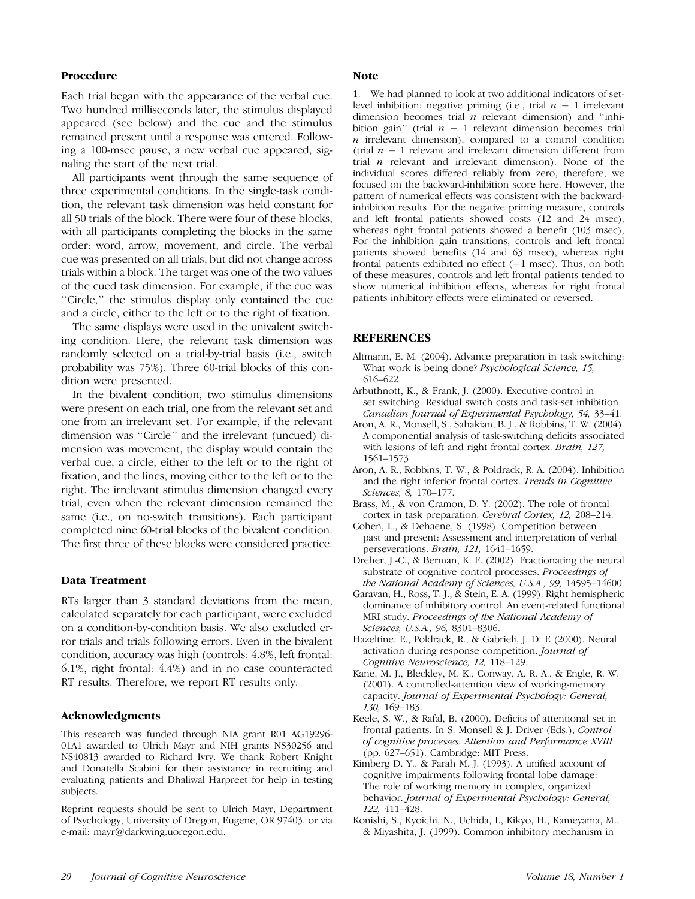### Procedure

Each trial began with the appearance of the verbal cue. Two hundred milliseconds later, the stimulus displayed appeared (see below) and the cue and the stimulus remained present until a response was entered. Following a 100-msec pause, a new verbal cue appeared, signaling the start of the next trial.

All participants went through the same sequence of three experimental conditions. In the single-task condition, the relevant task dimension was held constant for all 50 trials of the block. There were four of these blocks, with all participants completing the blocks in the same order: word, arrow, movement, and circle. The verbal cue was presented on all trials, but did not change across trials within a block. The target was one of the two values of the cued task dimension. For example, if the cue was ''Circle,'' the stimulus display only contained the cue and a circle, either to the left or to the right of fixation.

The same displays were used in the univalent switching condition. Here, the relevant task dimension was randomly selected on a trial-by-trial basis (i.e., switch probability was 75%). Three 60-trial blocks of this condition were presented.

In the bivalent condition, two stimulus dimensions were present on each trial, one from the relevant set and one from an irrelevant set. For example, if the relevant dimension was ''Circle'' and the irrelevant (uncued) dimension was movement, the display would contain the verbal cue, a circle, either to the left or to the right of fixation, and the lines, moving either to the left or to the right. The irrelevant stimulus dimension changed every trial, even when the relevant dimension remained the same (i.e., on no-switch transitions). Each participant completed nine 60-trial blocks of the bivalent condition. The first three of these blocks were considered practice.

#### Data Treatment

RTs larger than 3 standard deviations from the mean, calculated separately for each participant, were excluded on a condition-by-condition basis. We also excluded error trials and trials following errors. Even in the bivalent condition, accuracy was high (controls: 4.8%, left frontal: 6.1%, right frontal: 4.4%) and in no case counteracted RT results. Therefore, we report RT results only.

#### Acknowledgments

This research was funded through NIA grant R01 AG19296- 01A1 awarded to Ulrich Mayr and NIH grants NS30256 and NS40813 awarded to Richard Ivry. We thank Robert Knight and Donatella Scabini for their assistance in recruiting and evaluating patients and Dhaliwal Harpreet for help in testing subjects.

Reprint requests should be sent to Ulrich Mayr, Department of Psychology, University of Oregon, Eugene, OR 97403, or via e-mail: mayr@darkwing.uoregon.edu.

#### **Note**

1. We had planned to look at two additional indicators of setlevel inhibition: negative priming (i.e., trial  $n - 1$  irrelevant dimension becomes trial  $n$  relevant dimension) and "inhibition gain" (trial  $n - 1$  relevant dimension becomes trial  $n$  irrelevant dimension), compared to a control condition (trial  $n - 1$  relevant and irrelevant dimension different from trial  $n$  relevant and irrelevant dimension). None of the individual scores differed reliably from zero, therefore, we focused on the backward-inhibition score here. However, the pattern of numerical effects was consistent with the backwardinhibition results: For the negative priming measure, controls and left frontal patients showed costs (12 and 24 msec), whereas right frontal patients showed a benefit (103 msec); For the inhibition gain transitions, controls and left frontal patients showed benefits (14 and 63 msec), whereas right frontal patients exhibited no effect  $(-1 \text{ msec})$ . Thus, on both of these measures, controls and left frontal patients tended to show numerical inhibition effects, whereas for right frontal patients inhibitory effects were eliminated or reversed.

#### REFERENCES

- Altmann, E. M. (2004). Advance preparation in task switching: What work is being done? Psychological Science, 15, 616–622.
- Arbuthnott, K., & Frank, J. (2000). Executive control in set switching: Residual switch costs and task-set inhibition. Canadian Journal of Experimental Psychology, 54, 33–41.
- Aron, A. R., Monsell, S., Sahakian, B. J., & Robbins, T. W. (2004). A componential analysis of task-switching deficits associated with lesions of left and right frontal cortex. Brain, 127, 1561–1573.
- Aron, A. R., Robbins, T. W., & Poldrack, R. A. (2004). Inhibition and the right inferior frontal cortex. Trends in Cognitive Sciences, 8, 170–177.
- Brass, M., & von Cramon, D. Y. (2002). The role of frontal cortex in task preparation. Cerebral Cortex, 12, 208–214.
- Cohen, L., & Dehaene, S. (1998). Competition between past and present: Assessment and interpretation of verbal perseverations. Brain, 121, 1641–1659.
- Dreher, J.-C., & Berman, K. F. (2002). Fractionating the neural substrate of cognitive control processes. Proceedings of the National Academy of Sciences, U.S.A., 99, 14595–14600.
- Garavan, H., Ross, T. J., & Stein, E. A. (1999). Right hemispheric dominance of inhibitory control: An event-related functional MRI study. Proceedings of the National Academy of Sciences, U.S.A., 96, 8301–8306.
- Hazeltine, E., Poldrack, R., & Gabrieli, J. D. E (2000). Neural activation during response competition. Journal of Cognitive Neuroscience, 12, 118–129.
- Kane, M. J., Bleckley, M. K., Conway, A. R. A., & Engle, R. W. (2001). A controlled-attention view of working-memory capacity. Journal of Experimental Psychology: General, 130, 169–183.
- Keele, S. W., & Rafal, B. (2000). Deficits of attentional set in frontal patients. In S. Monsell & J. Driver (Eds.), Control of cognitive processes: Attention and Performance XVIII (pp. 627–651). Cambridge: MIT Press.
- Kimberg D. Y., & Farah M. J. (1993). A unified account of cognitive impairments following frontal lobe damage: The role of working memory in complex, organized behavior. Journal of Experimental Psychology: General, 122, 411–428.
- Konishi, S., Kyoichi, N., Uchida, I., Kikyo, H., Kameyama, M., & Miyashita, J. (1999). Common inhibitory mechanism in